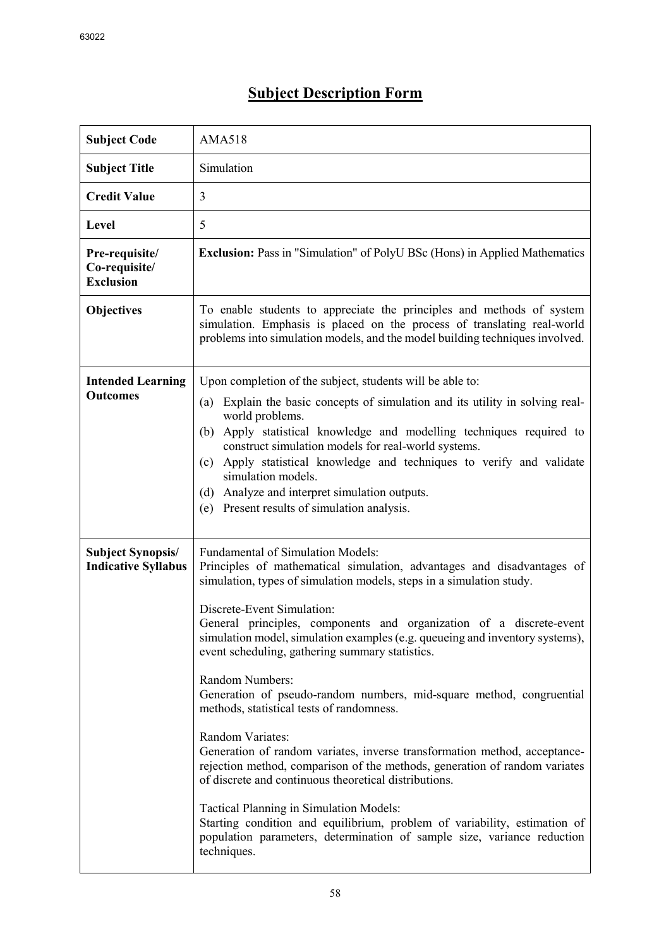| <b>Subject Code</b>                                    | <b>AMA518</b>                                                                                                                                                                                                                                                                                                                                                                                                                                                                                                                                                                                                                                                                                                                                                                                                                                                                                                                                                                                                                        |
|--------------------------------------------------------|--------------------------------------------------------------------------------------------------------------------------------------------------------------------------------------------------------------------------------------------------------------------------------------------------------------------------------------------------------------------------------------------------------------------------------------------------------------------------------------------------------------------------------------------------------------------------------------------------------------------------------------------------------------------------------------------------------------------------------------------------------------------------------------------------------------------------------------------------------------------------------------------------------------------------------------------------------------------------------------------------------------------------------------|
| <b>Subject Title</b>                                   | Simulation                                                                                                                                                                                                                                                                                                                                                                                                                                                                                                                                                                                                                                                                                                                                                                                                                                                                                                                                                                                                                           |
| <b>Credit Value</b>                                    | 3                                                                                                                                                                                                                                                                                                                                                                                                                                                                                                                                                                                                                                                                                                                                                                                                                                                                                                                                                                                                                                    |
| Level                                                  | 5                                                                                                                                                                                                                                                                                                                                                                                                                                                                                                                                                                                                                                                                                                                                                                                                                                                                                                                                                                                                                                    |
| Pre-requisite/<br>Co-requisite/<br><b>Exclusion</b>    | <b>Exclusion:</b> Pass in "Simulation" of PolyU BSc (Hons) in Applied Mathematics                                                                                                                                                                                                                                                                                                                                                                                                                                                                                                                                                                                                                                                                                                                                                                                                                                                                                                                                                    |
| <b>Objectives</b>                                      | To enable students to appreciate the principles and methods of system<br>simulation. Emphasis is placed on the process of translating real-world<br>problems into simulation models, and the model building techniques involved.                                                                                                                                                                                                                                                                                                                                                                                                                                                                                                                                                                                                                                                                                                                                                                                                     |
| <b>Intended Learning</b><br><b>Outcomes</b>            | Upon completion of the subject, students will be able to:<br>Explain the basic concepts of simulation and its utility in solving real-<br>(a)<br>world problems.<br>Apply statistical knowledge and modelling techniques required to<br>(b)<br>construct simulation models for real-world systems.<br>Apply statistical knowledge and techniques to verify and validate<br>(c)<br>simulation models.<br>Analyze and interpret simulation outputs.<br>(d)<br>Present results of simulation analysis.<br>(e)                                                                                                                                                                                                                                                                                                                                                                                                                                                                                                                           |
| <b>Subject Synopsis/</b><br><b>Indicative Syllabus</b> | <b>Fundamental of Simulation Models:</b><br>Principles of mathematical simulation, advantages and disadvantages of<br>simulation, types of simulation models, steps in a simulation study.<br>Discrete-Event Simulation:<br>General principles, components and organization of a discrete-event<br>simulation model, simulation examples (e.g. queueing and inventory systems),<br>event scheduling, gathering summary statistics.<br>Random Numbers:<br>Generation of pseudo-random numbers, mid-square method, congruential<br>methods, statistical tests of randomness.<br>Random Variates:<br>Generation of random variates, inverse transformation method, acceptance-<br>rejection method, comparison of the methods, generation of random variates<br>of discrete and continuous theoretical distributions.<br>Tactical Planning in Simulation Models:<br>Starting condition and equilibrium, problem of variability, estimation of<br>population parameters, determination of sample size, variance reduction<br>techniques. |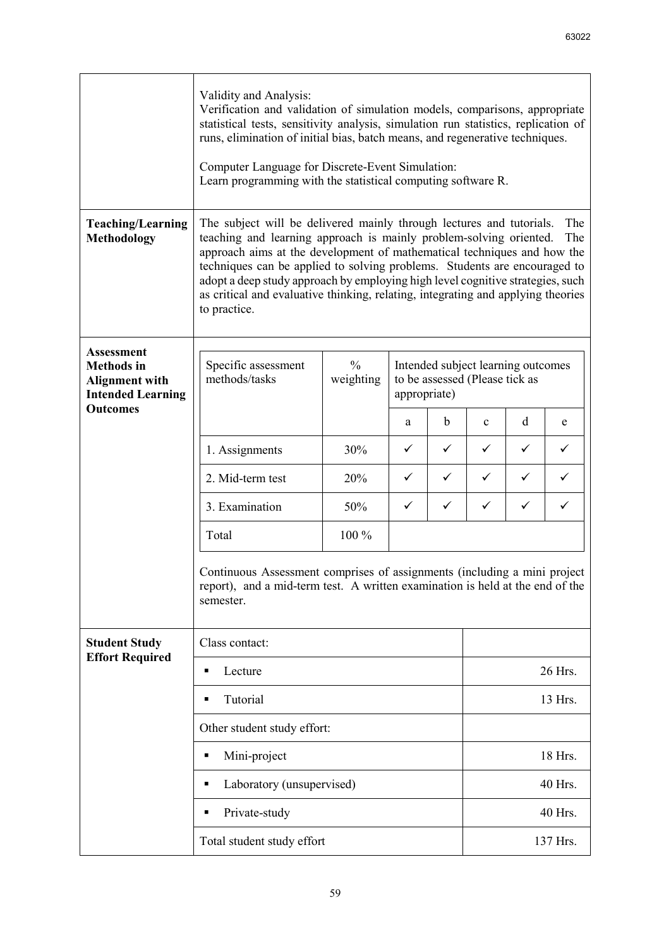|                                                                                             | Validity and Analysis:<br>Verification and validation of simulation models, comparisons, appropriate<br>statistical tests, sensitivity analysis, simulation run statistics, replication of<br>runs, elimination of initial bias, batch means, and regenerative techniques.<br>Computer Language for Discrete-Event Simulation:<br>Learn programming with the statistical computing software R.                                                                                                         |                            |              |              |                                                                      |         |   |  |
|---------------------------------------------------------------------------------------------|--------------------------------------------------------------------------------------------------------------------------------------------------------------------------------------------------------------------------------------------------------------------------------------------------------------------------------------------------------------------------------------------------------------------------------------------------------------------------------------------------------|----------------------------|--------------|--------------|----------------------------------------------------------------------|---------|---|--|
| <b>Teaching/Learning</b><br><b>Methodology</b>                                              | The subject will be delivered mainly through lectures and tutorials.<br>The<br>teaching and learning approach is mainly problem-solving oriented.<br>The<br>approach aims at the development of mathematical techniques and how the<br>techniques can be applied to solving problems. Students are encouraged to<br>adopt a deep study approach by employing high level cognitive strategies, such<br>as critical and evaluative thinking, relating, integrating and applying theories<br>to practice. |                            |              |              |                                                                      |         |   |  |
| <b>Assessment</b><br><b>Methods</b> in<br><b>Alignment with</b><br><b>Intended Learning</b> | Specific assessment<br>methods/tasks                                                                                                                                                                                                                                                                                                                                                                                                                                                                   | $\frac{0}{0}$<br>weighting | appropriate) |              | Intended subject learning outcomes<br>to be assessed (Please tick as |         |   |  |
| <b>Outcomes</b>                                                                             |                                                                                                                                                                                                                                                                                                                                                                                                                                                                                                        |                            | a            | b            | $\mathbf c$                                                          | d       | e |  |
|                                                                                             | 1. Assignments                                                                                                                                                                                                                                                                                                                                                                                                                                                                                         | 30%                        | $\checkmark$ | $\checkmark$ | ✓                                                                    | ✓       | ✓ |  |
|                                                                                             | 2. Mid-term test                                                                                                                                                                                                                                                                                                                                                                                                                                                                                       | 20%                        | ✓            | $\checkmark$ | $\checkmark$                                                         | ✓       | ✓ |  |
|                                                                                             | 3. Examination                                                                                                                                                                                                                                                                                                                                                                                                                                                                                         | 50%                        | $\checkmark$ | $\checkmark$ | $\checkmark$                                                         | ✓       | ✓ |  |
|                                                                                             | Total                                                                                                                                                                                                                                                                                                                                                                                                                                                                                                  | 100 %                      |              |              |                                                                      |         |   |  |
|                                                                                             | Continuous Assessment comprises of assignments (including a mini project<br>report), and a mid-term test. A written examination is held at the end of the<br>semester.                                                                                                                                                                                                                                                                                                                                 |                            |              |              |                                                                      |         |   |  |
| <b>Student Study</b><br><b>Effort Required</b>                                              | Class contact:                                                                                                                                                                                                                                                                                                                                                                                                                                                                                         |                            |              |              |                                                                      |         |   |  |
|                                                                                             | Lecture<br>٠                                                                                                                                                                                                                                                                                                                                                                                                                                                                                           |                            |              |              | 26 Hrs.                                                              |         |   |  |
|                                                                                             | Tutorial<br>П                                                                                                                                                                                                                                                                                                                                                                                                                                                                                          |                            |              |              | 13 Hrs.                                                              |         |   |  |
|                                                                                             | Other student study effort:                                                                                                                                                                                                                                                                                                                                                                                                                                                                            |                            |              |              |                                                                      |         |   |  |
|                                                                                             | Mini-project<br>Ξ                                                                                                                                                                                                                                                                                                                                                                                                                                                                                      |                            |              |              |                                                                      | 18 Hrs. |   |  |
|                                                                                             | Laboratory (unsupervised)<br>٠                                                                                                                                                                                                                                                                                                                                                                                                                                                                         |                            |              | 40 Hrs.      |                                                                      |         |   |  |
|                                                                                             | Private-study<br>٠                                                                                                                                                                                                                                                                                                                                                                                                                                                                                     |                            |              |              |                                                                      | 40 Hrs. |   |  |
|                                                                                             | Total student study effort                                                                                                                                                                                                                                                                                                                                                                                                                                                                             |                            |              |              | 137 Hrs.                                                             |         |   |  |